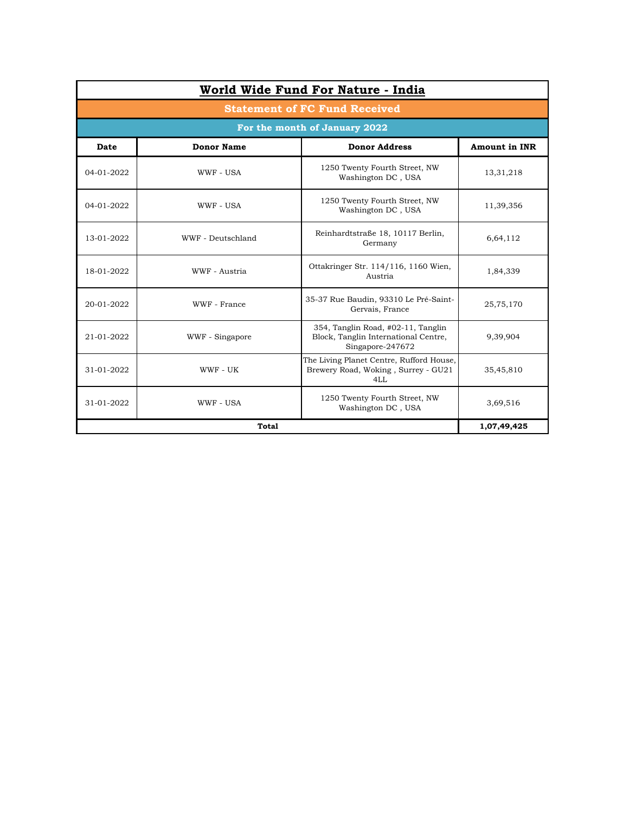| <b>Statement of FC Fund Received</b> |                   |                                                                                                |                      |  |  |  |
|--------------------------------------|-------------------|------------------------------------------------------------------------------------------------|----------------------|--|--|--|
| For the month of January 2022        |                   |                                                                                                |                      |  |  |  |
| Date                                 | <b>Donor Name</b> | <b>Donor Address</b>                                                                           | <b>Amount in INR</b> |  |  |  |
| 04-01-2022                           | WWF - USA         | 1250 Twenty Fourth Street, NW<br>Washington DC, USA                                            | 13,31,218            |  |  |  |
| 04-01-2022                           | WWF - USA         | 1250 Twenty Fourth Street, NW<br>Washington DC, USA                                            | 11,39,356            |  |  |  |
| 13-01-2022                           | WWF - Deutschland | Reinhardtstraße 18, 10117 Berlin,<br>Germany                                                   | 6,64,112             |  |  |  |
| 18-01-2022                           | WWF - Austria     | Ottakringer Str. 114/116, 1160 Wien,<br>Austria                                                | 1,84,339             |  |  |  |
| 20-01-2022                           | WWF - France      | 35-37 Rue Baudin, 93310 Le Pré-Saint-<br>Gervais, France                                       | 25,75,170            |  |  |  |
| 21-01-2022                           | WWF - Singapore   | 354, Tanglin Road, #02-11, Tanglin<br>Block, Tanglin International Centre,<br>Singapore-247672 | 9,39,904             |  |  |  |
| 31-01-2022                           | WWF - UK          | The Living Planet Centre, Rufford House,<br>Brewery Road, Woking, Surrey - GU21<br>4LL         | 35,45,810            |  |  |  |
| 31-01-2022                           | WWF - USA         | 1250 Twenty Fourth Street, NW<br>Washington DC, USA                                            | 3,69,516             |  |  |  |
|                                      | 1,07,49,425       |                                                                                                |                      |  |  |  |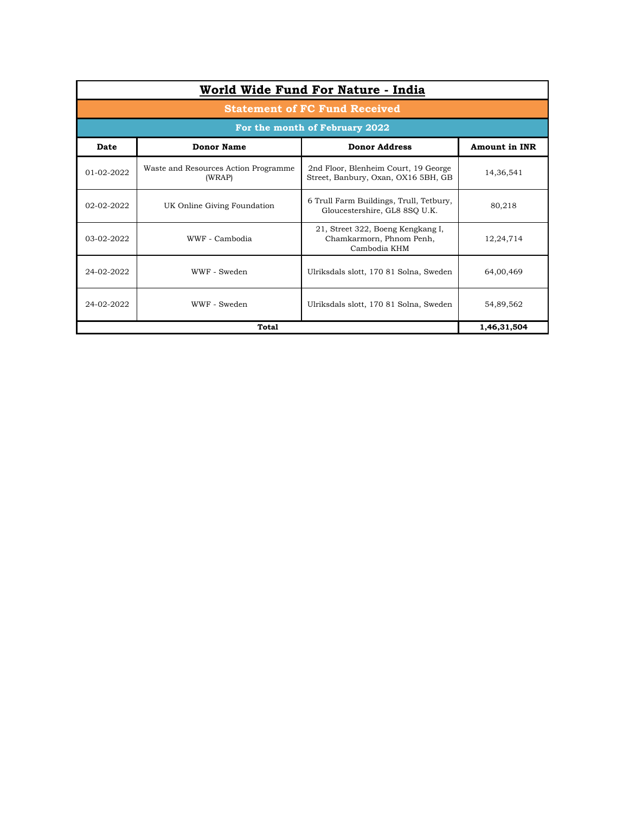| World Wide Fund For Nature - India   |                                                |                                                                               |                      |  |  |  |
|--------------------------------------|------------------------------------------------|-------------------------------------------------------------------------------|----------------------|--|--|--|
| <b>Statement of FC Fund Received</b> |                                                |                                                                               |                      |  |  |  |
| For the month of February 2022       |                                                |                                                                               |                      |  |  |  |
| Date                                 | <b>Donor Name</b>                              | <b>Donor Address</b>                                                          | <b>Amount in INR</b> |  |  |  |
| $01-02-2022$                         | Waste and Resources Action Programme<br>(WRAP) | 2nd Floor, Blenheim Court, 19 George<br>Street, Banbury, Oxan, OX16 5BH, GB   | 14,36,541            |  |  |  |
| 02-02-2022                           | UK Online Giving Foundation                    | 6 Trull Farm Buildings, Trull, Tetbury,<br>Gloucestershire, GL8 8SQ U.K.      | 80,218               |  |  |  |
| 03-02-2022                           | WWF - Cambodia                                 | 21, Street 322, Boeng Kengkang I,<br>Chamkarmorn, Phnom Penh,<br>Cambodia KHM | 12,24,714            |  |  |  |
| 24-02-2022                           | WWF - Sweden                                   | Ulriksdals slott, 170 81 Solna, Sweden                                        | 64,00,469            |  |  |  |
| 24-02-2022                           | WWF - Sweden                                   | Ulriksdals slott, 170 81 Solna, Sweden                                        | 54,89,562            |  |  |  |
|                                      | 1,46,31,504                                    |                                                                               |                      |  |  |  |